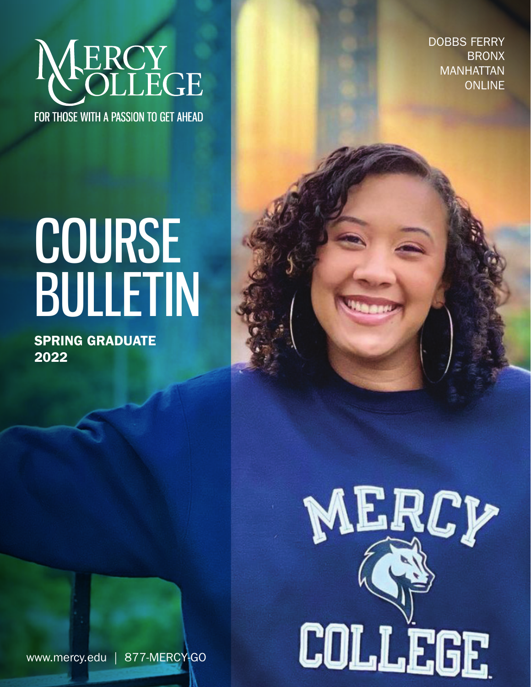

DOBBS FERRY BRONX MANHATTAN ONLINE

# COURSE BULLETIN

Spring GRADUATE 2022



www.mercy.edu | 877-MERCY-GO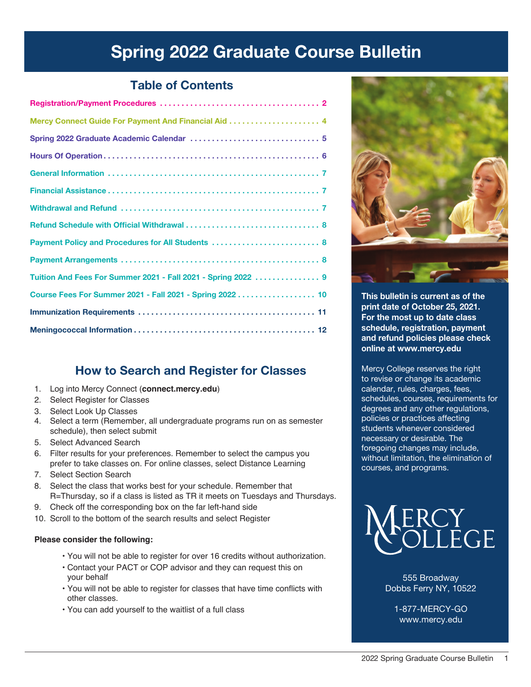# Spring 2022 Graduate Course Bulletin

# Table of Contents

| Payment Policy and Procedures for All Students  8             |
|---------------------------------------------------------------|
|                                                               |
| Tuition And Fees For Summer 2021 - Fall 2021 - Spring 2022  9 |
| Course Fees For Summer 2021 - Fall 2021 - Spring 2022 10      |
|                                                               |
|                                                               |

# How to Search and Register for Classes

- 1. Log into Mercy Connect (**connect.mercy.edu**)
- 2. Select Register for Classes
- 3. Select Look Up Classes
- 4. Select a term (Remember, all undergraduate programs run on as semester schedule), then select submit
- 5. Select Advanced Search
- 6. Filter results for your preferences. Remember to select the campus you prefer to take classes on. For online classes, select Distance Learning
- 7. Select Section Search
- 8. Select the class that works best for your schedule. Remember that R=Thursday, so if a class is listed as TR it meets on Tuesdays and Thursdays.
- 9. Check off the corresponding box on the far left-hand side
- 10. Scroll to the bottom of the search results and select Register

# **Please consider the following:**

- You will not be able to register for over 16 credits without authorization.
- Contact your PACT or COP advisor and they can request this on your behalf
- You will not be able to register for classes that have time conflicts with other classes.
- You can add yourself to the waitlist of a full class



This bulletin is current as of the print date of October 25, 2021. For the most up to date class schedule, registration, payment and refund policies please check online at www.mercy.edu

Mercy College reserves the right to revise or change its academic calendar, rules, charges, fees, schedules, courses, requirements for degrees and any other regulations, policies or practices affecting students whenever considered necessary or desirable. The foregoing changes may include, without limitation, the elimination of courses, and programs.



555 Broadway Dobbs Ferry NY, 10522

1-877-MERCY-GO www.mercy.edu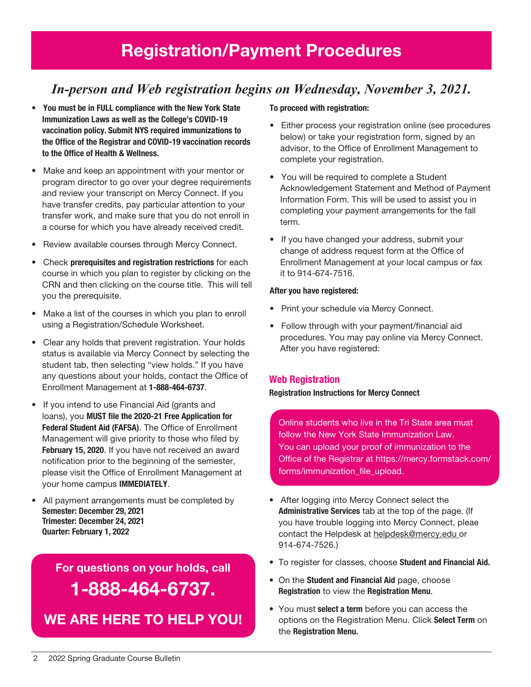# *In-person and Web registration begins on Wednesday, November 3, 2021.*

- You must be in FULL compliance with the New York State Immunization Laws as well as the College's COVID-19 vaccination policy. Submit NYS required immunizations to the Office of the Registrar and COVID-19 vaccination records to the Office of Health & Wellness.
- Make and keep an appointment with your mentor or program director to go over your degree requirements and review your transcript on Mercy Connect. If you have transfer credits, pay particular attention to your transfer work, and make sure that you do not enroll in a course for which you have already received credit.
- Review available courses through Mercy Connect.
- Check prerequisites and registration restrictions for each course in which you plan to register by clicking on the CRN and then clicking on the course title. This will tell you the prerequisite.
- Make a list of the courses in which you plan to enroll using a Registration/Schedule Worksheet.
- Clear any holds that prevent registration. Your holds status is available via Mercy Connect by selecting the student tab, then selecting "view holds." If you have any questions about your holds, contact the Office of Enrollment Management at 1-888-464-6737.
- If you intend to use Financial Aid (grants and loans), you MUST file the 2020-21 Free Application for Federal Student Aid (FAFSA). The Office of Enrollment Management will give priority to those who filed by February 15, 2020. If you have not received an award notification prior to the beginning of the semester, please visit the Office of Enrollment Management at your home campus IMMEDIATELY.
- All payment arrangements must be completed by Semester: December 29, 2021 Trimester: December 24, 2021 Quarter: February 1, 2022

For questions on your holds, call 1-888-464-6737.

We are here to help You!

# To proceed with registration:

- Either process your registration online (see procedures below) or take your registration form, signed by an advisor, to the Office of Enrollment Management to complete your registration.
- You will be required to complete a Student Acknowledgement Statement and Method of Payment Information Form. This will be used to assist you in completing your payment arrangements for the fall term.
- If you have changed your address, submit your change of address request form at the Office of Enrollment Management at your local campus or fax it to 914-674-7516.

## After you have registered:

- Print your schedule via Mercy Connect.
- Follow through with your payment/financial aid procedures. You may pay online via Mercy Connect. After you have registered:

# Web Registration

#### Registration Instructions for Mercy Connect

Online students who live in the Tri State area must follow the New York State Immunization Law. You can upload your proof of immunization to the Office of the Registrar at https://mercy.formstack.com/ forms/immunization\_file\_upload.

- After logging into Mercy Connect select the Administrative Services tab at the top of the page. (If you have trouble logging into Mercy Connect, pleae contact the Helpdesk at helpdesk@mercy.edu or 914-674-7526.)
- To register for classes, choose Student and Financial Aid.
- On the Student and Financial Aid page, choose Registration to view the Registration Menu.
- You must **select a term** before you can access the options on the Registration Menu. Click Select Term on the Registration Menu.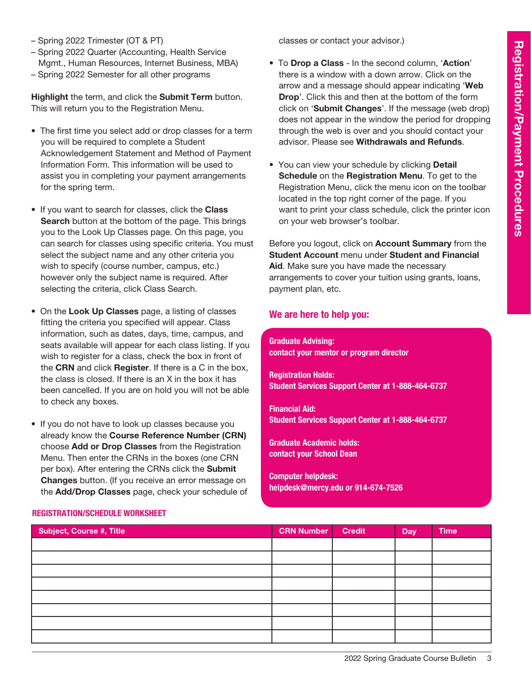- Spring 2022 Trimester (OT & PT)
- Spring 2022 Quarter (Accounting, Health Service Mgmt., Human Resources, Internet Business, MBA)
- Spring 2022 Semester for all other programs

Highlight the term, and click the Submit Term button. This will return you to the Registration Menu.

- The first time you select add or drop classes for a term you will be required to complete a Student Acknowledgement Statement and Method of Payment Information Form. This information will be used to assist you in completing your payment arrangements for the spring term.
- If you want to search for classes, click the Class Search button at the bottom of the page. This brings you to the Look Up Classes page. On this page, you can search for classes using specific criteria. You must select the subject name and any other criteria you wish to specify (course number, campus, etc.) however only the subject name is required. After selecting the criteria, click Class Search.
- On the Look Up Classes page, a listing of classes fitting the criteria you specified will appear. Class information, such as dates, days, time, campus, and seats available will appear for each class listing. If you wish to register for a class, check the box in front of the CRN and click Register. If there is a C in the box, the class is closed. If there is an X in the box it has been cancelled. If you are on hold you will not be able to check any boxes.
- If you do not have to look up classes because you already know the Course Reference Number (CRN) choose Add or Drop Classes from the Registration Menu. Then enter the CRNs in the boxes (one CRN per box). After entering the CRNs click the Submit Changes button. (If you receive an error message on the Add/Drop Classes page, check your schedule of

classes or contact your advisor.)

- To Drop a Class In the second column, 'Action' there is a window with a down arrow. Click on the arrow and a message should appear indicating 'Web Drop'. Click this and then at the bottom of the form click on 'Submit Changes'. If the message (web drop) does not appear in the window the period for dropping through the web is over and you should contact your advisor. Please see Withdrawals and Refunds.
- You can view your schedule by clicking **Detail** Schedule on the Registration Menu. To get to the Registration Menu, click the menu icon on the toolbar located in the top right corner of the page. If you want to print your class schedule, click the printer icon on your web browser's toolbar.

Before you logout, click on Account Summary from the Student Account menu under Student and Financial Aid. Make sure you have made the necessary arrangements to cover your tuition using grants, loans, payment plan, etc.

# We are here to help you:

Graduate Advising: contact your mentor or program director

Registration Holds: Student Services Support Center at 1-888-464-6737

Financial Aid: Student Services Support Center at 1-888-464-6737

Graduate Academic holds: contact your School Dean

Computer helpdesk: helpdesk@mercy.edu or 914-674-7526

| <b>Subject, Course #, Title</b> | <b>CRN Number</b> | <b>Credit</b> | <b>Day</b> | <b>Time</b> |
|---------------------------------|-------------------|---------------|------------|-------------|
|                                 |                   |               |            |             |
|                                 |                   |               |            |             |
|                                 |                   |               |            |             |
|                                 |                   |               |            |             |
|                                 |                   |               |            |             |
|                                 |                   |               |            |             |
|                                 |                   |               |            |             |
|                                 |                   |               |            |             |

## Registration/Schedule Worksheet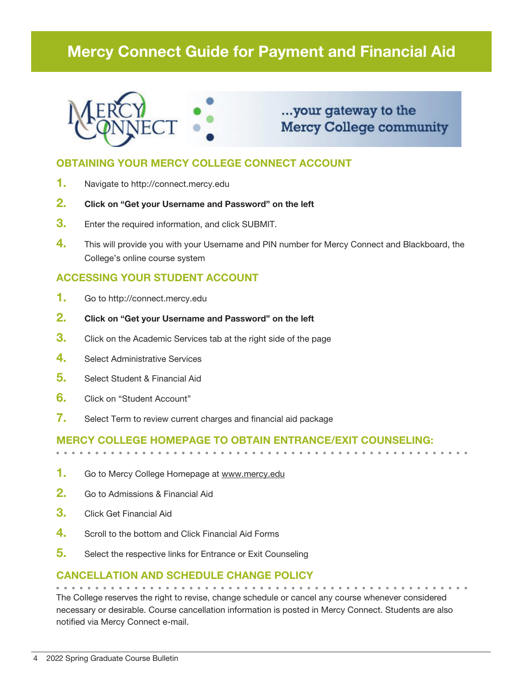# Mercy Connect Guide for Payment and Financial Aid



# ...your gateway to the **Mercy College community**

# OBTAINING YOUR MERCY COLLEGE CONNECT ACCOUNT

- 1. Navigate to http://connect.mercy.edu
- 2. Click on "Get your Username and Password" on the left
- **3.** Enter the required information, and click SUBMIT.
- 4. This will provide you with your Username and PIN number for Mercy Connect and Blackboard, the College's online course system

# ACCESSING YOUR STUDENT ACCOUNT

- 1. Go to http://connect.mercy.edu
- 2. Click on "Get your Username and Password" on the left
- **3.** Click on the Academic Services tab at the right side of the page
- 4. Select Administrative Services
- 5. Select Student & Financial Aid
- 6. Click on "Student Account"
- 7. Select Term to review current charges and financial aid package

# Mercy College homepage to obtain entrance/exit counseling:

- 1. Go to Mercy College Homepage at www.mercy.edu
- 2. Go to Admissions & Financial Aid
- **3.** Click Get Financial Aid
- 4. Scroll to the bottom and Click Financial Aid Forms
- 5. Select the respective links for Entrance or Exit Counseling

# Cancellation and Schedule Change Policy

The College reserves the right to revise, change schedule or cancel any course whenever considered necessary or desirable. Course cancellation information is posted in Mercy Connect. Students are also notified via Mercy Connect e-mail.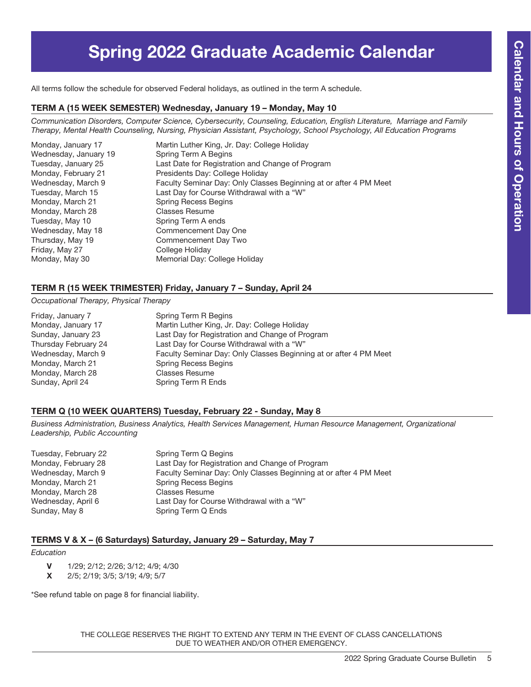# Spring 2022 Graduate Academic Calendar

All terms follow the schedule for observed Federal holidays, as outlined in the term A schedule.

## TERM A (15 Week Semester) Wednesday, January 19 – Monday, May 10

*Communication Disorders, Computer Science, Cybersecurity, Counseling, Education, English Literature, Marriage and Family Therapy, Mental Health Counseling, Nursing, Physician Assistant, Psychology, School Psychology, All Education Programs* 

| Monday, January 17    | Martin Luther King, Jr. Day: College Holiday                      |
|-----------------------|-------------------------------------------------------------------|
| Wednesday, January 19 | Spring Term A Begins                                              |
| Tuesday, January 25   | Last Date for Registration and Change of Program                  |
| Monday, February 21   | Presidents Day: College Holiday                                   |
| Wednesday, March 9    | Faculty Seminar Day: Only Classes Beginning at or after 4 PM Meet |
| Tuesday, March 15     | Last Day for Course Withdrawal with a "W"                         |
| Monday, March 21      | <b>Spring Recess Begins</b>                                       |
| Monday, March 28      | Classes Resume                                                    |
| Tuesday, May 10       | Spring Term A ends                                                |
| Wednesday, May 18     | Commencement Day One                                              |
| Thursday, May 19      | Commencement Day Two                                              |
| Friday, May 27        | College Holiday                                                   |
| Monday, May 30        | Memorial Day: College Holiday                                     |

# TERM R (15 Week Trimester) Friday, January 7 – Sunday, April 24

# *Occupational Therapy, Physical Therapy*

| Friday, January 7    | Spring Term R Begins                                              |
|----------------------|-------------------------------------------------------------------|
| Monday, January 17   | Martin Luther King, Jr. Day: College Holiday                      |
| Sunday, January 23   | Last Day for Registration and Change of Program                   |
| Thursday February 24 | Last Day for Course Withdrawal with a "W"                         |
| Wednesday, March 9   | Faculty Seminar Day: Only Classes Beginning at or after 4 PM Meet |
| Monday, March 21     | <b>Spring Recess Begins</b>                                       |
| Monday, March 28     | <b>Classes Resume</b>                                             |
| Sunday, April 24     | Spring Term R Ends                                                |

## TERM Q (10 WEEK QUARTERS) Tuesday, February 22 - Sunday, May 8

*Business Administration, Business Analytics, Health Services Management, Human Resource Management, Organizational Leadership, Public Accounting*

| Tuesday, February 22 | Spring Term Q Begins                                              |
|----------------------|-------------------------------------------------------------------|
| Monday, February 28  | Last Day for Registration and Change of Program                   |
| Wednesday, March 9   | Faculty Seminar Day: Only Classes Beginning at or after 4 PM Meet |
| Monday, March 21     | <b>Spring Recess Begins</b>                                       |
| Monday, March 28     | <b>Classes Resume</b>                                             |
| Wednesday, April 6   | Last Day for Course Withdrawal with a "W"                         |
| Sunday, May 8        | Spring Term Q Ends                                                |

# TERMS V & X – (6 Saturdays) Saturday, January 29 – Saturday, May 7

#### *Education*

- V 1/29; 2/12; 2/26; 3/12; 4/9; 4/30
- X 2/5; 2/19; 3/5; 3/19; 4/9; 5/7

\*See refund table on page 8 for financial liability.

THE COLLEGE RESERVES THE RIGHT TO EXTEND ANY TERM IN THE EVENT OF CLASS CANCELLATIONS DUE TO WEATHER AND/OR OTHER EMERGENCY.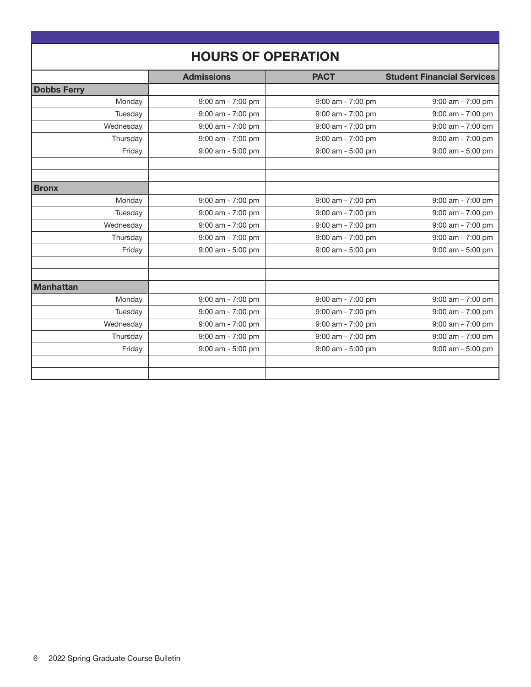| <b>HOURS OF OPERATION</b> |                       |                   |                                   |  |
|---------------------------|-----------------------|-------------------|-----------------------------------|--|
|                           | <b>Admissions</b>     | <b>PACT</b>       | <b>Student Financial Services</b> |  |
| <b>Dobbs Ferry</b>        |                       |                   |                                   |  |
| Monday                    | 9:00 am - 7:00 pm     | 9:00 am - 7:00 pm | 9:00 am - 7:00 pm                 |  |
| Tuesday                   | 9:00 am - 7:00 pm     | 9:00 am - 7:00 pm | 9:00 am - 7:00 pm                 |  |
| Wednesday                 | 9:00 am - 7:00 pm     | 9:00 am - 7:00 pm | 9:00 am - 7:00 pm                 |  |
| Thursday                  | 9:00 am - 7:00 pm     | 9:00 am - 7:00 pm | 9:00 am - 7:00 pm                 |  |
| Friday                    | $9:00$ am - $5:00$ pm | 9:00 am - 5:00 pm | $9:00$ am - $5:00$ pm             |  |
|                           |                       |                   |                                   |  |
|                           |                       |                   |                                   |  |
| <b>Bronx</b>              |                       |                   |                                   |  |
| Monday                    | 9:00 am - 7:00 pm     | 9:00 am - 7:00 pm | 9:00 am - 7:00 pm                 |  |
| Tuesday                   | 9:00 am - 7:00 pm     | 9:00 am - 7:00 pm | 9:00 am - 7:00 pm                 |  |
| Wednesday                 | 9:00 am - 7:00 pm     | 9:00 am - 7:00 pm | 9:00 am - 7:00 pm                 |  |
| Thursday                  | 9:00 am - 7:00 pm     | 9:00 am - 7:00 pm | 9:00 am - 7:00 pm                 |  |
| Friday                    | 9:00 am - 5:00 pm     | 9:00 am - 5:00 pm | 9:00 am - 5:00 pm                 |  |
|                           |                       |                   |                                   |  |
|                           |                       |                   |                                   |  |
| <b>Manhattan</b>          |                       |                   |                                   |  |
| Monday                    | 9:00 am - 7:00 pm     | 9:00 am - 7:00 pm | 9:00 am - 7:00 pm                 |  |
| Tuesday                   | 9:00 am - 7:00 pm     | 9:00 am - 7:00 pm | 9:00 am - 7:00 pm                 |  |
| Wednesday                 | 9:00 am - 7:00 pm     | 9:00 am - 7:00 pm | $9:00$ am - $7:00$ pm             |  |
| Thursday                  | 9:00 am - 7:00 pm     | 9:00 am - 7:00 pm | 9:00 am - 7:00 pm                 |  |
| Friday                    | 9:00 am - 5:00 pm     | 9:00 am - 5:00 pm | 9:00 am - 5:00 pm                 |  |
|                           |                       |                   |                                   |  |
|                           |                       |                   |                                   |  |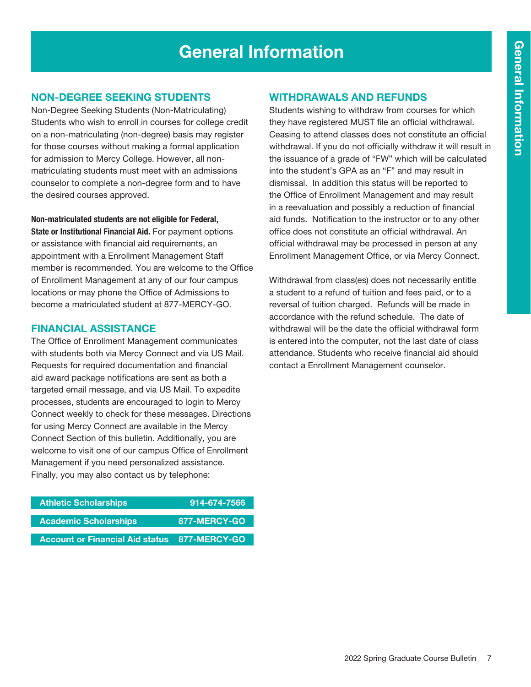# General Information

# Non-Degree Seeking Students

Non-Degree Seeking Students (Non-Matriculating) Students who wish to enroll in courses for college credit on a non-matriculating (non-degree) basis may register for those courses without making a formal application for admission to Mercy College. However, all nonmatriculating students must meet with an admissions counselor to complete a non-degree form and to have the desired courses approved.

Non-matriculated students are not eligible for Federal,

State or Institutional Financial Aid. For payment options or assistance with financial aid requirements, an appointment with a Enrollment Management Staff member is recommended. You are welcome to the Office of Enrollment Management at any of our four campus locations or may phone the Office of Admissions to become a matriculated student at 877-MERCY-GO.

# Financial Assistance

The Office of Enrollment Management communicates with students both via Mercy Connect and via US Mail. Requests for required documentation and financial aid award package notifications are sent as both a targeted email message, and via US Mail. To expedite processes, students are encouraged to login to Mercy Connect weekly to check for these messages. Directions for using Mercy Connect are available in the Mercy Connect Section of this bulletin. Additionally, you are welcome to visit one of our campus Office of Enrollment Management if you need personalized assistance. Finally, you may also contact us by telephone:

| 914-674-7566                                        |
|-----------------------------------------------------|
|                                                     |
| 877-MERCY-GO                                        |
|                                                     |
| <b>Account or Financial Aid status 877-MERCY-GO</b> |
|                                                     |

# Withdrawals and Refunds

Students wishing to withdraw from courses for which they have registered MUST file an official withdrawal. Ceasing to attend classes does not constitute an official withdrawal. If you do not officially withdraw it will result in the issuance of a grade of "FW" which will be calculated into the student's GPA as an "F" and may result in dismissal. In addition this status will be reported to the Office of Enrollment Management and may result in a reevaluation and possibly a reduction of financial aid funds. Notification to the instructor or to any other office does not constitute an official withdrawal. An official withdrawal may be processed in person at any Enrollment Management Office, or via Mercy Connect.

Withdrawal from class(es) does not necessarily entitle a student to a refund of tuition and fees paid, or to a reversal of tuition charged. Refunds will be made in accordance with the refund schedule. The date of withdrawal will be the date the official withdrawal form is entered into the computer, not the last date of class attendance. Students who receive financial aid should contact a Enrollment Management counselor.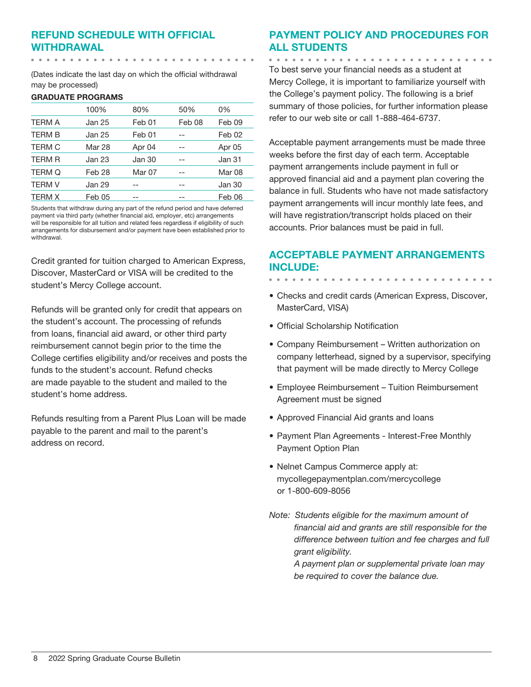# Refund Schedule with Official Withdrawal

(Dates indicate the last day on which the official withdrawal may be processed)

#### GRADUATE PROGRAMS

|               | 100%   | 80%    | 50%    | 0%     |
|---------------|--------|--------|--------|--------|
| <b>TERM A</b> | Jan 25 | Feb 01 | Feb 08 | Feb 09 |
| <b>TERM B</b> | Jan 25 | Feb 01 |        | Feb 02 |
| <b>TERM C</b> | Mar 28 | Apr 04 |        | Apr 05 |
| <b>TERM R</b> | Jan 23 | Jan 30 |        | Jan 31 |
| <b>TERM Q</b> | Feb 28 | Mar 07 |        | Mar 08 |
| <b>TERM V</b> | Jan 29 |        |        | Jan 30 |
| <b>TERM X</b> | Feb 05 |        |        | Feb 06 |

Students that withdraw during any part of the refund period and have deferred payment via third party (whether financial aid, employer, etc) arrangements will be responsible for all tuition and related fees regardless if eligibility of such arrangements for disbursement and/or payment have been established prior to withdrawal.

Credit granted for tuition charged to American Express, Discover, MasterCard or VISA will be credited to the student's Mercy College account.

Refunds will be granted only for credit that appears on the student's account. The processing of refunds from loans, financial aid award, or other third party reimbursement cannot begin prior to the time the College certifies eligibility and/or receives and posts the funds to the student's account. Refund checks are made payable to the student and mailed to the student's home address.

Refunds resulting from a Parent Plus Loan will be made payable to the parent and mail to the parent's address on record.

# Payment Policy and Procedures for all Students

To best serve your financial needs as a student at Mercy College, it is important to familiarize yourself with the College's payment policy. The following is a brief summary of those policies, for further information please refer to our web site or call 1-888-464-6737.

Acceptable payment arrangements must be made three weeks before the first day of each term. Acceptable payment arrangements include payment in full or approved financial aid and a payment plan covering the balance in full. Students who have not made satisfactory payment arrangements will incur monthly late fees, and will have registration/transcript holds placed on their accounts. Prior balances must be paid in full.

# Acceptable Payment Arrangements include:

- Checks and credit cards (American Express, Discover, MasterCard, VISA)
- Official Scholarship Notification
- Company Reimbursement Written authorization on company letterhead, signed by a supervisor, specifying that payment will be made directly to Mercy College
- Employee Reimbursement Tuition Reimbursement Agreement must be signed
- Approved Financial Aid grants and loans
- Payment Plan Agreements Interest-Free Monthly Payment Option Plan
- Nelnet Campus Commerce apply at: mycollegepaymentplan.com/mercycollege or 1-800-609-8056
- *Note: Students eligible for the maximum amount of financial aid and grants are still responsible for the difference between tuition and fee charges and full grant eligibility. A payment plan or supplemental private loan may be required to cover the balance due.*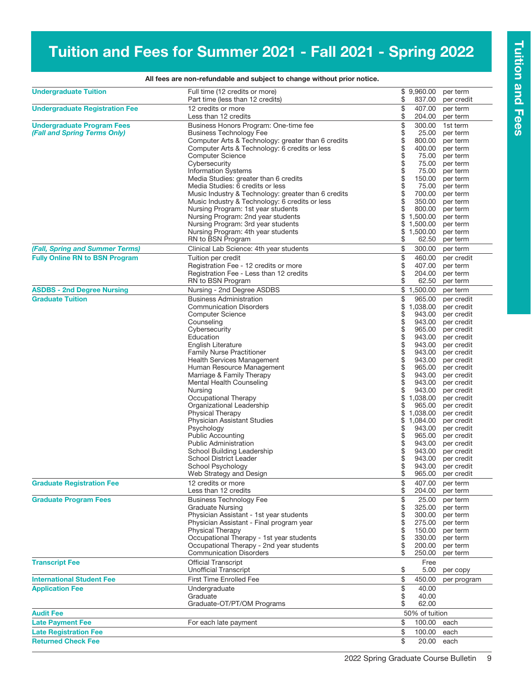# Tuition and Fees for Summer 2021 - Fall 2021 - Spring 2022

| <b>Undergraduate Tuition</b>                                      | Full time (12 credits or more)<br>Part time (less than 12 credits)                                                                                                                                                                                                                                                                                                                                                                                                                                                                                                                                                                | \$<br>\$                                                                                                   | 9,960.00<br>837.00                                                                                                                                                                                                                         | per term<br>per credit                                                                                                                                                                                                                                                                                                                              |
|-------------------------------------------------------------------|-----------------------------------------------------------------------------------------------------------------------------------------------------------------------------------------------------------------------------------------------------------------------------------------------------------------------------------------------------------------------------------------------------------------------------------------------------------------------------------------------------------------------------------------------------------------------------------------------------------------------------------|------------------------------------------------------------------------------------------------------------|--------------------------------------------------------------------------------------------------------------------------------------------------------------------------------------------------------------------------------------------|-----------------------------------------------------------------------------------------------------------------------------------------------------------------------------------------------------------------------------------------------------------------------------------------------------------------------------------------------------|
| <b>Undergraduate Registration Fee</b>                             | 12 credits or more<br>Less than 12 credits                                                                                                                                                                                                                                                                                                                                                                                                                                                                                                                                                                                        | \$<br>\$                                                                                                   | 407.00<br>204.00                                                                                                                                                                                                                           | per term<br>per term                                                                                                                                                                                                                                                                                                                                |
| <b>Undergraduate Program Fees</b><br>(Fall and Spring Terms Only) | Business Honors Program: One-time fee<br><b>Business Technology Fee</b><br>Computer Arts & Technology: greater than 6 credits<br>Computer Arts & Technology: 6 credits or less<br><b>Computer Science</b><br>Cybersecurity<br><b>Information Systems</b><br>Media Studies: greater than 6 credits<br>Media Studies: 6 credits or less<br>Music Industry & Technology: greater than 6 credits<br>Music Industry & Technology: 6 credits or less<br>Nursing Program: 1st year students<br>Nursing Program: 2nd year students<br>Nursing Program: 3rd year students<br>Nursing Program: 4th year students<br>RN to BSN Program       | \$<br>\$\$\$\$\$\$\$\$\$\$<br>\$<br>\$<br>\$<br>\$<br>\$<br>\$                                             | 300.00<br>25.00<br>800.00<br>400.00<br>75.00<br>75.00<br>75.00<br>150.00<br>75.00<br>700.00<br>350.00<br>800.00<br>1,500.00<br>1,500.00<br>1,500.00<br>62.50                                                                               | 1st term<br>per term<br>per term<br>per term<br>per term<br>per term<br>per term<br>per term<br>per term<br>per term<br>per term<br>per term<br>per term<br>per term<br>per term<br>per term                                                                                                                                                        |
| (Fall, Spring and Summer Terms)                                   | Clinical Lab Science: 4th year students                                                                                                                                                                                                                                                                                                                                                                                                                                                                                                                                                                                           | \$                                                                                                         | 300.00                                                                                                                                                                                                                                     | per term                                                                                                                                                                                                                                                                                                                                            |
| <b>Fully Online RN to BSN Program</b>                             | Tuition per credit<br>Registration Fee - 12 credits or more<br>Registration Fee - Less than 12 credits<br>RN to BSN Program                                                                                                                                                                                                                                                                                                                                                                                                                                                                                                       | \$<br>\$<br>\$<br>\$                                                                                       | 460.00<br>407.00<br>204.00<br>62.50                                                                                                                                                                                                        | per credit<br>per term<br>per term<br>per term                                                                                                                                                                                                                                                                                                      |
| <b>ASDBS - 2nd Degree Nursing</b>                                 | Nursing - 2nd Degree ASDBS                                                                                                                                                                                                                                                                                                                                                                                                                                                                                                                                                                                                        | \$                                                                                                         | 1,500.00                                                                                                                                                                                                                                   | per term                                                                                                                                                                                                                                                                                                                                            |
| <b>Graduate Tuition</b>                                           | <b>Business Administration</b><br><b>Communication Disorders</b><br><b>Computer Science</b><br>Counseling<br>Cybersecurity<br>Education<br>English Literature<br><b>Family Nurse Practitioner</b><br><b>Health Services Management</b><br>Human Resource Management<br>Marriage & Family Therapy<br>Mental Health Counseling<br>Nursing<br>Occupational Therapy<br>Organizational Leadership<br>Physical Therapy<br>Physician Assistant Studies<br>Psychology<br><b>Public Accounting</b><br><b>Public Administration</b><br>School Building Leadership<br>School District Leader<br>School Psychology<br>Web Strategy and Design | \$<br>\$<br>\$<br>\$<br>\$<br>\$\$<br>\$<br>\$<br>\$<br>\$<br>\$<br>\$<br>\$<br>\$<br>\$<br>\$<br>\$<br>\$ | 965.00<br>1,038.00<br>943.00<br>943.00<br>965.00<br>943.00<br>943.00<br>943.00<br>943.00<br>965.00<br>943.00<br>943.00<br>943.00<br>1,038.00<br>965.00<br>1,038.00<br>1,084.00<br>943.00<br>965.00<br>943.00<br>943.00<br>943.00<br>943.00 | per credit<br>per credit<br>per credit<br>per credit<br>per credit<br>per credit<br>per credit<br>per credit<br>per credit<br>per credit<br>per credit<br>per credit<br>per credit<br>per credit<br>per credit<br>per credit<br>per credit<br>per credit<br>per credit<br>per credit<br>per credit<br>per credit<br>per credit<br>965.00 per credit |
| <b>Graduate Registration Fee</b>                                  | 12 credits or more<br>Less than 12 credits                                                                                                                                                                                                                                                                                                                                                                                                                                                                                                                                                                                        | \$<br>\$                                                                                                   | 407.00<br>204.00                                                                                                                                                                                                                           | per term<br>per term                                                                                                                                                                                                                                                                                                                                |
| <b>Graduate Program Fees</b>                                      | <b>Business Technology Fee</b><br><b>Graduate Nursing</b><br>Physician Assistant - 1st year students<br>Physician Assistant - Final program year<br><b>Physical Therapy</b><br>Occupational Therapy - 1st year students<br>Occupational Therapy - 2nd year students<br><b>Communication Disorders</b>                                                                                                                                                                                                                                                                                                                             | \$<br>\$<br>\$<br>\$<br>\$<br>\$<br>\$<br>\$                                                               | 25.00<br>325.00<br>300.00<br>275.00<br>150.00<br>330.00<br>200.00<br>250.00                                                                                                                                                                | per term<br>per term<br>per term<br>per term<br>per term<br>per term<br>per term<br>per term                                                                                                                                                                                                                                                        |
| <b>Transcript Fee</b>                                             | <b>Official Transcript</b><br><b>Unofficial Transcript</b>                                                                                                                                                                                                                                                                                                                                                                                                                                                                                                                                                                        | \$                                                                                                         | Free<br>5.00                                                                                                                                                                                                                               | per copy                                                                                                                                                                                                                                                                                                                                            |
| <b>International Student Fee</b>                                  | <b>First Time Enrolled Fee</b>                                                                                                                                                                                                                                                                                                                                                                                                                                                                                                                                                                                                    | \$                                                                                                         | 450.00                                                                                                                                                                                                                                     | per program                                                                                                                                                                                                                                                                                                                                         |
| <b>Application Fee</b>                                            | Undergraduate<br>Graduate<br>Graduate-OT/PT/OM Programs                                                                                                                                                                                                                                                                                                                                                                                                                                                                                                                                                                           | \$<br>\$<br>\$                                                                                             | 40.00<br>40.00<br>62.00                                                                                                                                                                                                                    |                                                                                                                                                                                                                                                                                                                                                     |
| <b>Audit Fee</b>                                                  |                                                                                                                                                                                                                                                                                                                                                                                                                                                                                                                                                                                                                                   |                                                                                                            | 50% of tuition                                                                                                                                                                                                                             |                                                                                                                                                                                                                                                                                                                                                     |
| <b>Late Payment Fee</b>                                           | For each late payment                                                                                                                                                                                                                                                                                                                                                                                                                                                                                                                                                                                                             | \$                                                                                                         | 100.00                                                                                                                                                                                                                                     | each                                                                                                                                                                                                                                                                                                                                                |
| <b>Late Registration Fee</b>                                      |                                                                                                                                                                                                                                                                                                                                                                                                                                                                                                                                                                                                                                   | \$                                                                                                         | 100.00                                                                                                                                                                                                                                     | each                                                                                                                                                                                                                                                                                                                                                |
| <b>Returned Check Fee</b>                                         |                                                                                                                                                                                                                                                                                                                                                                                                                                                                                                                                                                                                                                   | \$                                                                                                         | 20.00                                                                                                                                                                                                                                      | each                                                                                                                                                                                                                                                                                                                                                |

#### All fees are non-refundable and subject to change without prior notice.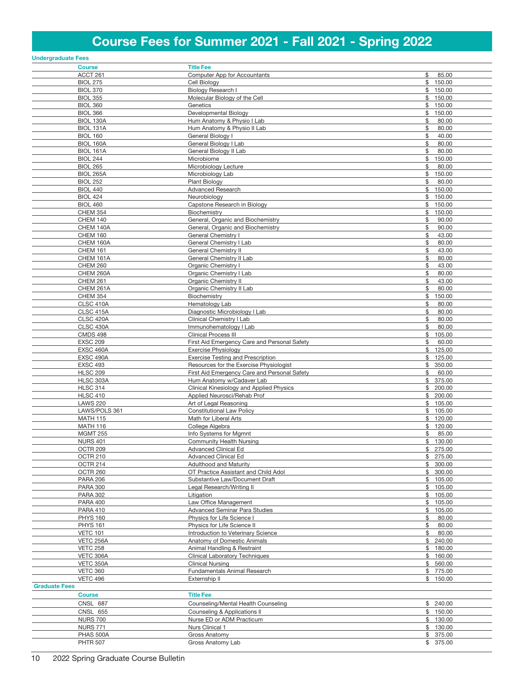# Course Fees for Summer 2021 - Fall 2021 - Spring 2022

| <b>Undergraduate Fees</b>           |                                                                                     |                             |
|-------------------------------------|-------------------------------------------------------------------------------------|-----------------------------|
| <b>Course</b>                       | <b>Title Fee</b>                                                                    |                             |
| ACCT 261                            | Computer App for Accountants                                                        | \$<br>85.00                 |
| <b>BIOL 275</b>                     | Cell Biology                                                                        | \$150.00                    |
| <b>BIOL 370</b><br><b>BIOL 355</b>  | Biology Research I                                                                  | \$150.00<br>\$              |
| <b>BIOL 360</b>                     | Molecular Biology of the Cell<br>Genetics                                           | 150.00<br>\$150.00          |
| <b>BIOL 366</b>                     | Developmental Biology                                                               | 150.00<br>\$                |
| BIOL 130A                           | Hum Anatomy & Physio I Lab                                                          | \$<br>80.00                 |
| BIOL 131A                           | Hum Anatomy & Physio II Lab                                                         | \$<br>80.00                 |
| <b>BIOL 160</b>                     | General Biology I                                                                   | \$<br>40.00                 |
| BIOL 160A                           | General Biology I Lab                                                               | \$<br>80.00                 |
| <b>BIOL 161A</b>                    | General Biology II Lab                                                              | \$<br>80.00                 |
| <b>BIOL 244</b>                     | Microbiome                                                                          | \$<br>150.00                |
| <b>BIOL 265</b><br><b>BIOL 265A</b> | Microbiology Lecture<br>Microbiology Lab                                            | \$<br>80.00<br>\$<br>150.00 |
| <b>BIOL 252</b>                     | <b>Plant Biology</b>                                                                | \$<br>80.00                 |
| <b>BIOL 440</b>                     | Advanced Research                                                                   | \$150.00                    |
| <b>BIOL 424</b>                     | Neurobiology                                                                        | \$150.00                    |
| <b>BIOL 460</b>                     | Capstone Research in Biology                                                        | \$150.00                    |
| <b>CHEM 354</b>                     | Biochemistry                                                                        | 150.00<br>\$                |
| <b>CHEM 140</b>                     | General, Organic and Biochemistry                                                   | \$<br>90.00                 |
| CHEM 140A<br>CHEM 160               | General, Organic and Biochemistry<br>General Chemistry I                            | \$<br>90.00<br>\$<br>43.00  |
| CHEM 160A                           | General Chemistry I Lab                                                             | \$<br>80.00                 |
| <b>CHEM 161</b>                     | General Chemistry II                                                                | \$<br>43.00                 |
| CHEM 161A                           | General Chemistry II Lab                                                            | \$<br>80.00                 |
| <b>CHEM 260</b>                     | Organic Chemistry I                                                                 | \$<br>43.00                 |
| CHEM 260A                           | Organic Chemistry I Lab                                                             | \$<br>80.00                 |
| <b>CHEM 261</b>                     | Organic Chemistry II                                                                | \$<br>43.00                 |
| CHEM 261A                           | Organic Chemistry II Lab                                                            | 80.00<br>\$                 |
| <b>CHEM 354</b><br>CLSC 410A        | Biochemistry<br>Hematology Lab                                                      | \$<br>150.00<br>80.00<br>\$ |
| CLSC 415A                           | Diagnostic Microbiology I Lab                                                       | \$<br>80.00                 |
| CLSC 420A                           | Clinical Chemistry I Lab                                                            | \$<br>80.00                 |
| CLSC 430A                           | Immunohematology I Lab                                                              | \$<br>80.00                 |
| <b>CMDS 498</b>                     | <b>Clinical Process III</b>                                                         | \$<br>105.00                |
| <b>EXSC 209</b>                     | First Aid Emergency Care and Personal Safety                                        | \$<br>60.00                 |
| EXSC 460A                           | <b>Exercise Physiology</b>                                                          | \$125.00                    |
| EXSC 490A<br><b>EXSC 493</b>        | <b>Exercise Testing and Prescription</b><br>Resources for the Exercise Physiologist | 125.00<br>\$<br>\$350.00    |
| <b>HLSC 209</b>                     | First Aid Emergency Care and Personal Safety                                        | \$<br>60.00                 |
| HLSC 303A                           | Hum Anatomy w/Cadaver Lab                                                           | \$375.00                    |
| <b>HLSC 314</b>                     | Clinical Kinesiology and Applied Physics                                            | \$200.00                    |
| <b>HLSC 410</b>                     | Applied Neurosci/Rehab Prof                                                         | \$200.00                    |
| <b>LAWS 220</b>                     | Art of Legal Reasoning                                                              | \$105.00                    |
| LAWS/POLS 361                       | <b>Constitutional Law Policy</b>                                                    | \$105.00                    |
| <b>MATH 115</b><br><b>MATH 116</b>  | Math for Liberal Arts<br>College Algebra                                            | \$120.00<br>\$120.00        |
| <b>MGMT 255</b>                     | Info Systems for Mgmnt                                                              | \$<br>85.00                 |
| <u>NURS 401</u>                     | <b>Community Health Nursing</b>                                                     | \$ 130.00                   |
| OCTR 209                            | <b>Advanced Clinical Ed</b>                                                         | \$275.00                    |
| OCTR 210                            | Advanced Clinical Ed                                                                | \$275.00                    |
| OCTR 214                            | <b>Adulthood and Maturity</b>                                                       | \$300.00                    |
| OCTR 260                            | OT Practice Assistant and Child Adol                                                | \$300.00                    |
| <b>PARA 206</b><br><b>PARA 300</b>  | Substantive Law/Document Draft<br>Legal Research/Writing II                         | \$105.00<br>\$105.00        |
| <b>PARA 302</b>                     | Litigation                                                                          | \$105.00                    |
| <b>PARA 400</b>                     | Law Office Management                                                               | \$105.00                    |
| <b>PARA 410</b>                     | Advanced Seminar Para Studies                                                       | \$105.00                    |
| <b>PHYS 160</b>                     | Physics for Life Science I                                                          | 80.00<br>\$                 |
| <b>PHYS 161</b>                     | Physics for Life Science II                                                         | \$<br>80.00                 |
| <b>VETC 101</b>                     | Introduction to Veterinary Science                                                  | \$<br>80.00                 |
| VETC 256A<br><b>VETC 258</b>        | Anatomy of Domestic Animals<br>Animal Handling & Restraint                          | \$240.00<br>\$180.00        |
| VETC 306A                           | <b>Clinical Laboratory Techniques</b>                                               | \$160.00                    |
| VETC 350A                           | <b>Clinical Nursing</b>                                                             | \$560.00                    |
| <b>VETC 360</b>                     | Fundamentals Animal Research                                                        | \$775.00                    |
| <b>VETC 496</b>                     | Externship II                                                                       | \$150.00                    |
| <b>Graduate Fees</b>                |                                                                                     |                             |
| <b>Course</b>                       | <b>Title Fee</b>                                                                    |                             |
| <b>CNSL 687</b>                     | Counseling/Mental Health Counseling                                                 | \$240.00                    |
| <b>CNSL 655</b><br><b>NURS 700</b>  | Counseling & Applications II<br>Nurse ED or ADM Practicum                           | \$150.00<br>\$130.00        |
| <b>NURS 771</b>                     | Nurs Clinical 1                                                                     | \$130.00                    |
| PHAS 500A                           | Gross Anatomy                                                                       | \$375.00                    |
| <b>PHTR 507</b>                     | Gross Anatomy Lab                                                                   | \$375.00                    |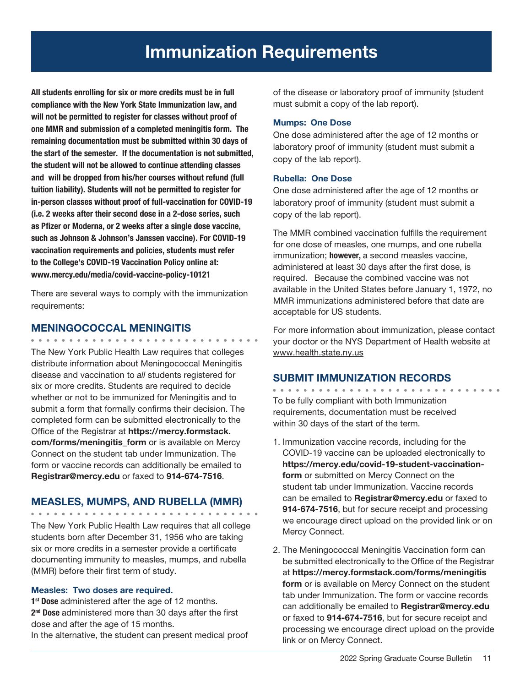All students enrolling for six or more credits must be in full compliance with the New York State Immunization law, and will not be permitted to register for classes without proof of one MMR and submission of a completed meningitis form. The remaining documentation must be submitted within 30 days of the start of the semester. If the documentation is not submitted, the student will not be allowed to continue attending classes and will be dropped from his/her courses without refund (full tuition liability). Students will not be permitted to register for in-person classes without proof of full-vaccination for COVID-19 (i.e. 2 weeks after their second dose in a 2-dose series, such as Pfizer or Moderna, or 2 weeks after a single dose vaccine, such as Johnson & Johnson's Janssen vaccine). For COVID-19 vaccination requirements and policies, students must refer to the College's COVID-19 Vaccination Policy online at: www.mercy.edu/media/covid-vaccine-policy-10121

There are several ways to comply with the immunization requirements:

# MENINGOCOCCAL MENINGITIS

The New York Public Health Law requires that colleges distribute information about Meningococcal Meningitis disease and vaccination to *all* students registered for six or more credits. Students are required to decide whether or not to be immunized for Meningitis and to submit a form that formally confirms their decision. The completed form can be submitted electronically to the Office of the Registrar at https://mercy.formstack. com/forms/meningitis form or is available on Mercy Connect on the student tab under Immunization. The form or vaccine records can additionally be emailed to Registrar@mercy.edu or faxed to 914-674-7516.

# MEASLES, MUMPS, AND RUBELLA (MMR)

The New York Public Health Law requires that all college students born after December 31, 1956 who are taking six or more credits in a semester provide a certificate documenting immunity to measles, mumps, and rubella (MMR) before their first term of study.

## Measles: Two doses are required.

1<sup>st</sup> Dose administered after the age of 12 months. 2<sup>nd</sup> Dose administered more than 30 days after the first dose and after the age of 15 months. In the alternative, the student can present medical proof of the disease or laboratory proof of immunity (student must submit a copy of the lab report).

#### Mumps: One Dose

One dose administered after the age of 12 months or laboratory proof of immunity (student must submit a copy of the lab report).

## Rubella: One Dose

One dose administered after the age of 12 months or laboratory proof of immunity (student must submit a copy of the lab report).

The MMR combined vaccination fulfills the requirement for one dose of measles, one mumps, and one rubella immunization; however, a second measles vaccine, administered at least 30 days after the first dose, is required. Because the combined vaccine was not available in the United States before January 1, 1972, no MMR immunizations administered before that date are acceptable for US students.

For more information about immunization, please contact your doctor or the NYS Department of Health website at www.health.state.ny.us

# SUBMIT IMMUNIZATION RECORDS

To be fully compliant with both Immunization requirements, documentation must be received within 30 days of the start of the term.

- 1. Immunization vaccine records, including for the COVID-19 vaccine can be uploaded electronically to https://mercy.edu/covid-19-student-vaccinationform or submitted on Mercy Connect on the student tab under Immunization. Vaccine records can be emailed to Registrar@mercy.edu or faxed to 914-674-7516, but for secure receipt and processing we encourage direct upload on the provided link or on Mercy Connect.
- 2. The Meningococcal Meningitis Vaccination form can be submitted electronically to the Office of the Registrar at https://mercy.formstack.com/forms/meningitis form or is available on Mercy Connect on the student tab under Immunization. The form or vaccine records can additionally be emailed to Registrar@mercy.edu or faxed to 914-674-7516, but for secure receipt and processing we encourage direct upload on the provide link or on Mercy Connect.